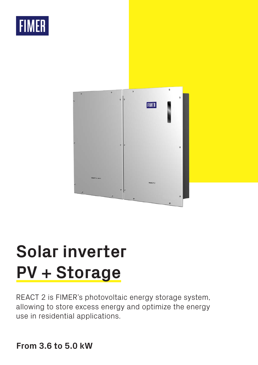# **FIMER**



# **Solar inverter PV + Storage**

REACT 2 is FIMER's photovoltaic energy storage system, allowing to store excess energy and optimize the energy use in residential applications.

# **From 3.6 to 5.0 kW**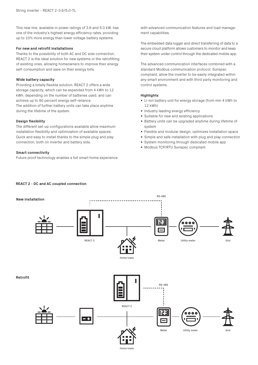This new line, available in power ratings of 3.6 and 5.0 kW, has one of the industry's highest energy efficiency rates, providing up to 10% more energy than lower voltage battery systems.

### **For new and retrofit installations**

Thanks to the possibility of both AC and DC side connection, REACT 2 is the ideal solution for new systems or the retrofitting of existing ones, allowing homeowners to improve their energy self-consumption and save on their energy bills.

#### **Wide battery capacity**

Providing a totally flexible solution, REACT 2 offers a wide storage capacity, which can be expanded from 4 kWh to 12 kWh, depending on the number of batteries used, and can achieve up to 90 percent energy self-reliance. The addition of further battery units can take place anytime during the lifetime of the system.

# **Design flexibility**

The different set-up configurations available allow maximum installation flexibility and optimization of available spaces. Quick and easy to install thanks to the simple plug and play connection, both on inverter and battery side.

#### **Smart connectivity**

Future proof technology enables a full smart home experience

with advanced communication features and load management capabilities.

The embedded data logger and direct transferring of data to a secure cloud platform allows customers to monitor and keep their system under control through the dedicated mobile app.

The advanced communication interfaces combined with a standard Modbus communication protocol, Sunspec compliant, allow the inverter to be easily integrated within any smart environment and with third party monitoring and control systems.

#### **Highlights**

- Li-lon battery unit for energy storage (from min 4 kWh to 12 kWh)
- Industry leading energy efficiency
- Suitable for new and existing applications
- Battery units can be upgraded anytime during lifetime of system
- Flexible and modular design, optimizes installation space
- Simple and safe installation with plug and play connection
- System monitoring through dedicated mobile app
- Modbus TCP/RTU Sunspec compliant



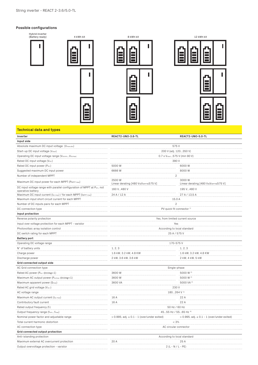# **Possible configurations**



# **Technical data and types**

| Inverter                                                                                     | REACT2-UNO-3.6-TL                                  | REACT2-UNO-5.0-TL                                  |
|----------------------------------------------------------------------------------------------|----------------------------------------------------|----------------------------------------------------|
| Input side                                                                                   |                                                    |                                                    |
| Absolute maximum DC input voltage (Vmax,abs)                                                 | 575V                                               |                                                    |
| Start-up DC input voltage (Vstart)                                                           | 200 V (adj. 120350 V)                              |                                                    |
| Operating DC input voltage range (VdcminVdcmax)                                              | 0.7 x V <sub>start</sub> 575 V (min 90 V)          |                                                    |
| Rated DC input voltage (Vdcr)                                                                | 390V                                               |                                                    |
| Rated DC input power (Pdcr)                                                                  | 5000W                                              | 6000W                                              |
| Suggested maximum DC input power                                                             | 6666W                                              | 8000W                                              |
| Number of independent MPPT                                                                   | $\overline{2}$                                     |                                                    |
| Maximum DC input power for each MPPT (PMPPT max)                                             | 2500 W<br>Linear derating [480 V≤VMPPT≤575 V]      | 3000W<br>Linear derating [480 V≤VMPPT≤575 V]       |
| DC input voltage range with parallel configuration of MPPT at Pacr, not<br>operative battery | 160 V480 V                                         | 195 V480 V                                         |
| Maximum DC input current (Idc max) / for each MPPT (IMPPT max)                               | 24 A / 12 A                                        | 27 A / 13,5 A                                      |
| Maximum input short circuit current for each MPPT                                            | 15.0 A                                             |                                                    |
| Number of DC inputs pairs for each MPPT                                                      | $\sqrt{2}$                                         |                                                    |
| DC connection type                                                                           |                                                    | PV quick fit connector <sup>1</sup>                |
| Input protection                                                                             |                                                    |                                                    |
| Reverse polarity protection                                                                  | Yes, from limited current source                   |                                                    |
| Input over voltage protection for each MPPT - varistor                                       | Yes<br>.                                           |                                                    |
| Photovoltaic array isolation control                                                         | According to local standard                        |                                                    |
| DC switch rating for each MPPT                                                               | 25 A / 575 V                                       |                                                    |
| <b>Battery port</b>                                                                          |                                                    |                                                    |
| Operating DC voltage range                                                                   | 170-575V                                           |                                                    |
| N° of battery units                                                                          | 1, 2, 3                                            | 1, 2, 3                                            |
| Charge power                                                                                 | 1.6 kW, 3.2 kW, 4.8 KW                             | 1.6 kW, 3.2 kW, 4.8 KW                             |
| Discharge power                                                                              | 2 kW, 3.6 kW, 3.6 kW                               | 2 kW, 4 kW, 5 kW                                   |
| Grid connected output side                                                                   |                                                    |                                                    |
| AC Grid connection type                                                                      | Single-phase                                       |                                                    |
| Rated AC power (Pacr @cosq=1)                                                                | 3600W                                              | 5000 W 2)                                          |
| Maximum AC output power (Pacmax @COSq=1)                                                     | 3600W                                              | 5000 W <sup>2)</sup>                               |
| Maximum apparent power (Smax)                                                                | 3600 VA                                            | 5000 VA <sup>2)</sup>                              |
| Rated AC grid voltage (Vac.r)                                                                | 230 V                                              |                                                    |
| AC voltage range                                                                             | 180264 V 3)                                        |                                                    |
| Maximum AC output current (lac max)                                                          | 16 A                                               | 22 A                                               |
| Contributory fault current                                                                   | 16 A                                               | 22A                                                |
| Rated output frequency (fr)                                                                  | 50 Hz / 60 Hz                                      |                                                    |
| Output frequency range (fminfmax)                                                            | 4555 Hz / 5565 Hz 4                                |                                                    |
| Nominal power factor and adjustable range                                                    | $> 0.995$ , adj. $\pm 0.1 - 1$ (over/under exited) | $> 0.995$ , adj. $\pm 0.1 - 1$ (over/under exited) |
| Total current harmonic distortion                                                            | $< 3\%$                                            |                                                    |
| AC connection type                                                                           | AC circular connector                              |                                                    |
| Grid connected output protection                                                             |                                                    |                                                    |
| Anti-islanding protection                                                                    |                                                    | According to local standard                        |
| Maximum external AC overcurrent protection                                                   | 20 A<br>25 A                                       |                                                    |
| Output overvoltage protection - varistor                                                     | $2(L - N / L - PE)$                                |                                                    |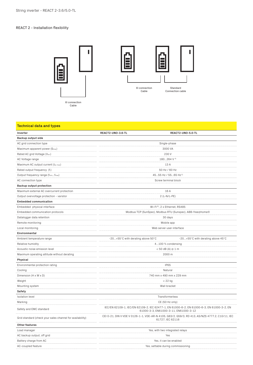# REACT 2 - Installation flexibility



Xl connection Cable





# **Technical data and types**

| Inverter                                                  | REACT2-UNO-3.6-TL                                                                                                                  | REACT2-UNO-5.0-TL                                                                                                   |  |
|-----------------------------------------------------------|------------------------------------------------------------------------------------------------------------------------------------|---------------------------------------------------------------------------------------------------------------------|--|
| Backup output side                                        |                                                                                                                                    |                                                                                                                     |  |
| AC grid connection type                                   | Single-phase                                                                                                                       |                                                                                                                     |  |
| Maximum apparent power (Smax)                             |                                                                                                                                    | 3000 VA                                                                                                             |  |
| Rated AC grid Voltage (Vacr)                              | 230V                                                                                                                               |                                                                                                                     |  |
| AC Voltage range                                          | 180264 V 4)                                                                                                                        |                                                                                                                     |  |
| Maximum AC output current (lac max)                       | 13 A                                                                                                                               |                                                                                                                     |  |
| Rated output frequency (fr)                               | 50 Hz / 60 Hz                                                                                                                      |                                                                                                                     |  |
| Output frequency range (fminfmax)                         | 4555 Hz / 5565 Hz 5)                                                                                                               |                                                                                                                     |  |
| AC connection type                                        | Screw terminal block                                                                                                               |                                                                                                                     |  |
| <b>Backup output protection</b>                           |                                                                                                                                    |                                                                                                                     |  |
| Maximum external AC overcurrent protection                | 16 A                                                                                                                               |                                                                                                                     |  |
| Output overvoltage protection - varistor                  |                                                                                                                                    | 2 (L-N/L-PE)                                                                                                        |  |
| <b>Embedded communication</b>                             |                                                                                                                                    |                                                                                                                     |  |
| Embedded physical interface                               | Wi-Fi(5), 2 x Ethernet, RS485                                                                                                      |                                                                                                                     |  |
| Embedded communication protocols                          | Modbus TCP (SunSpec), Modbus RTU (Sunspec), ABB-free@home®                                                                         |                                                                                                                     |  |
| Datalogger data retention                                 | 30 days                                                                                                                            |                                                                                                                     |  |
| Remote monitoring                                         | Mobile app                                                                                                                         |                                                                                                                     |  |
| Local monitoring                                          |                                                                                                                                    | Web server user interface                                                                                           |  |
| Environmental                                             |                                                                                                                                    |                                                                                                                     |  |
| Ambient temperature range                                 | -20+55°C with derating above 50°C                                                                                                  | -20+55°C with derating above 45°C                                                                                   |  |
| Relative humidity                                         |                                                                                                                                    | 4100 % condensing                                                                                                   |  |
| Acoustic noise emission level                             | $< 50$ dB (A) $\circledcirc$ 1 m                                                                                                   |                                                                                                                     |  |
| Maximum operating altitude without derating               | 2000 m                                                                                                                             |                                                                                                                     |  |
| Physical                                                  |                                                                                                                                    |                                                                                                                     |  |
| Environmental protection rating                           | IP65                                                                                                                               |                                                                                                                     |  |
| Cooling                                                   | Natural                                                                                                                            |                                                                                                                     |  |
| Dimension (H x W x D)                                     | 740 mm x 490 mm x 229 mm                                                                                                           |                                                                                                                     |  |
| Weight                                                    | $<$ 22 $kg$                                                                                                                        |                                                                                                                     |  |
| Mounting system                                           | Wall bracket                                                                                                                       |                                                                                                                     |  |
| Safety                                                    |                                                                                                                                    |                                                                                                                     |  |
| <b>Isolation level</b>                                    | Transformerless                                                                                                                    |                                                                                                                     |  |
| Marking                                                   | CE (50 Hz only)                                                                                                                    |                                                                                                                     |  |
| Safety and EMC standard                                   | IEC/EN 62109-1, IEC/EN 62109-2, IEC 62477-1, EN 61000-6-2, EN 61000-6-3, EN 61000-3-2, EN<br>61000-3-3, EN61000-3-11, EN61000-3-12 |                                                                                                                     |  |
| Grid standard (check your sales channel for availability) |                                                                                                                                    | CEI 0-21, DIN V VDE V 0126-1-1, VDE-AR-N 4105, G83/2, G59/3, RD 413, AS/NZS 4777.2, C10/11, IEC<br>61727. IEC 62116 |  |
| Other features                                            |                                                                                                                                    |                                                                                                                     |  |
| Load manager                                              |                                                                                                                                    | Yes, with two integrated relays                                                                                     |  |
| AC backup output, off grid                                | Yes                                                                                                                                |                                                                                                                     |  |
| Battery charge from AC                                    | Yes, it can be enabled                                                                                                             |                                                                                                                     |  |
| AC-coupled feature                                        | Yes, settable during commissioning                                                                                                 |                                                                                                                     |  |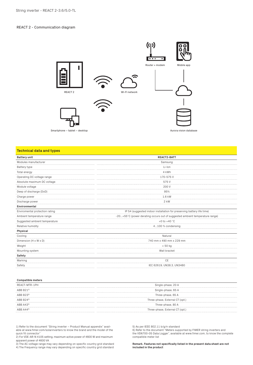# REACT 2 - Communication diagram



### **Technical data and types**

| <b>Battery unit</b>            | <b>REACT2-BATT</b>                                                          |  |
|--------------------------------|-----------------------------------------------------------------------------|--|
| Modules manufacturer           | Samsung                                                                     |  |
| Battery type                   | Li-lon                                                                      |  |
| Total energy                   | 4 kWh                                                                       |  |
| Operating DC voltage range     | 170-575V                                                                    |  |
| Absolute maximum DC voltage    | 575V                                                                        |  |
| Module voltage                 | 200 V                                                                       |  |
| Deep of discharge (DoD)        | 95%                                                                         |  |
| Charge power                   | 1.6 kW                                                                      |  |
| Discharge power                | $2$ kW                                                                      |  |
| Environmental                  |                                                                             |  |
| Enviromental protection rating | IP 54 (suggested indoor installation for preserving battery life time)      |  |
| Ambient temperature range      | -20+55°C (power derating occurs out of suggested ambient temperature range) |  |
| Suggested ambient temperature  | +0 to +40 $^{\circ}$ C                                                      |  |
| Relative humidity              | 4100 % condensing                                                           |  |
| Physical                       |                                                                             |  |
| Cooling                        | Natural                                                                     |  |
| Dimension (H x W x D)          | 740 mm x 490 mm x 229 mm                                                    |  |
| Weight                         | < 50 kg                                                                     |  |
| Mounting system                | Wall bracket                                                                |  |
| Safety                         |                                                                             |  |
| Marking                        | CE                                                                          |  |
| Safety                         | IEC 62619, UN38.3, UN3480                                                   |  |

### **Compatible meters**

| REACT-MTR-1PH         | Single-phase, 20 A              |
|-----------------------|---------------------------------|
| $ABB B21^{6}$         | Single-phase, 65 A              |
| ABB B23 <sup>6)</sup> | Three-phase, 65 A               |
| ABB B24 <sup>6)</sup> | Three-phase, External CT (opt.) |
| ABB A43 <sup>6)</sup> | Three-phase, 80 A               |
| $ABB A44^{6}$         | Three-phase, External CT (opt.) |

1) Refer to the document "String inverter – Product Manual appendix" available at www.fimer.com/solarinverters to know the brand and the model of the quick fit connector"

2) For VDE-AR-N 4105 setting, maximum active power of 4600 W and maximum apparent power of 4600 VA

3) The AC voltage range may vary depending on specific country grid standard 4) The Frequency range may vary depending on specific country grid standard

5) As per IEEE 802.11 b/g/n standard

6) Refer to the document "Meters supported by FIMER string inverters and the VSN700-05 Data Logger", available at www.fimer.com, to know the complete compatible meter list

**Remark. Features not specifically listed in the present data sheet are not included in the product**